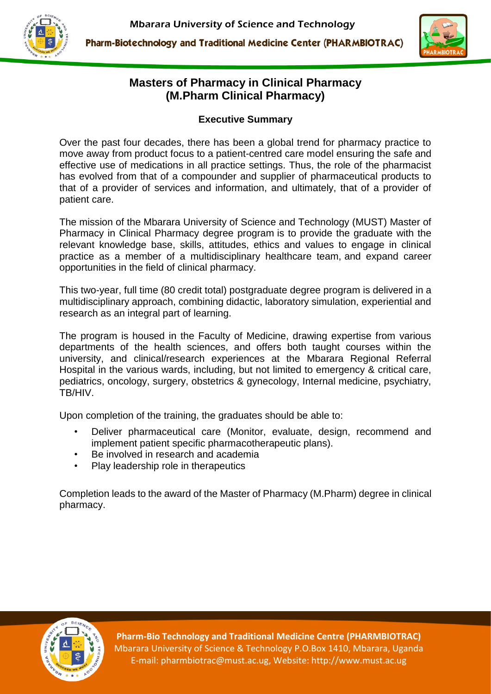



## **Masters of Pharmacy in Clinical Pharmacy (M.Pharm Clinical Pharmacy)**

### **Executive Summary**

Over the past four decades, there has been a global trend for pharmacy practice to move away from product focus to a patient-centred care model ensuring the safe and effective use of medications in all practice settings. Thus, the role of the pharmacist has evolved from that of a compounder and supplier of pharmaceutical products to that of a provider of services and information, and ultimately, that of a provider of patient care.

The mission of the Mbarara University of Science and Technology (MUST) Master of Pharmacy in Clinical Pharmacy degree program is to provide the graduate with the relevant knowledge base, skills, attitudes, ethics and values to engage in clinical practice as a member of a multidisciplinary healthcare team, and expand career opportunities in the field of clinical pharmacy.

This two-year, full time (80 credit total) postgraduate degree program is delivered in a multidisciplinary approach, combining didactic, laboratory simulation, experiential and research as an integral part of learning.

The program is housed in the Faculty of Medicine, drawing expertise from various departments of the health sciences, and offers both taught courses within the university, and clinical/research experiences at the Mbarara Regional Referral Hospital in the various wards, including, but not limited to emergency & critical care, pediatrics, oncology, surgery, obstetrics & gynecology, Internal medicine, psychiatry, TB/HIV.

Upon completion of the training, the graduates should be able to:

- Deliver pharmaceutical care (Monitor, evaluate, design, recommend and implement patient specific pharmacotherapeutic plans).
- Be involved in research and academia
- Play leadership role in therapeutics

Completion leads to the award of the Master of Pharmacy (M.Pharm) degree in clinical pharmacy.



**Pharm-Bio Technology and Traditional Medicine Centre (PHARMBIOTRAC)** Mbarara University of Science & Technology P.O.Box 1410, Mbarara, Uganda E-mail: pharmbiotrac@must.ac.ug, Website: http://www.must.ac.ug